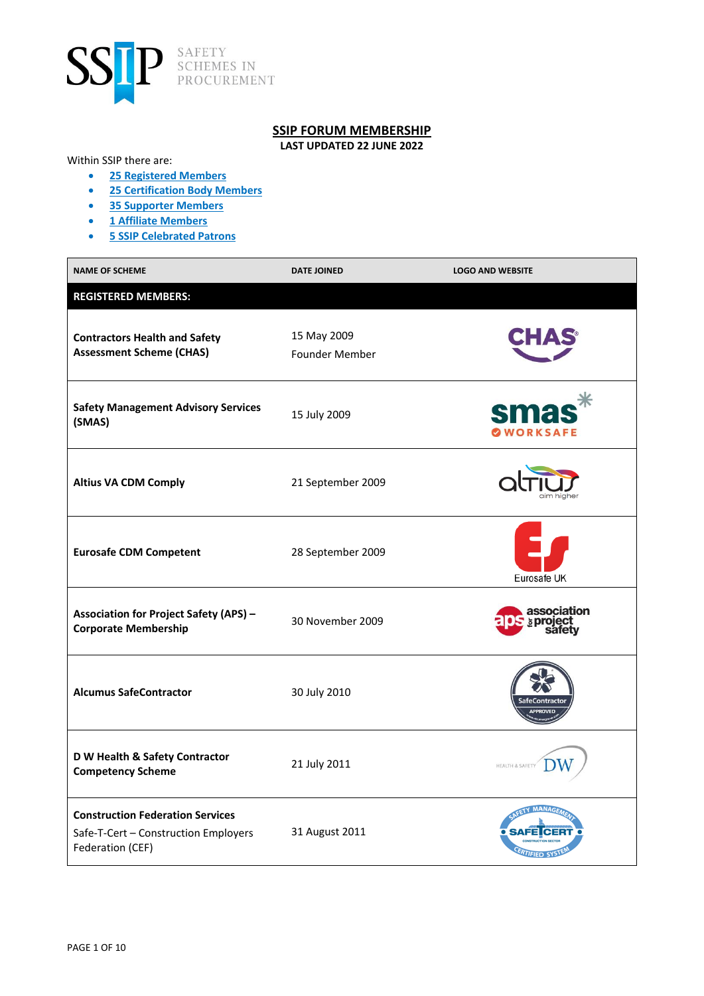

## **SSIP FORUM MEMBERSHIP**

**LAST UPDATED 22 JUNE 2022**

## Within SSIP there are:

- **25 Registered Members**
- **25 Certification Body Members**
- **35 Supporter Members**
- **1 Affiliate Members**
- **5 SSIP Celebrated Patrons**

| <b>NAME OF SCHEME</b>                                                                               | <b>DATE JOINED</b>                   | <b>LOGO AND WEBSITE</b>        |
|-----------------------------------------------------------------------------------------------------|--------------------------------------|--------------------------------|
| <b>REGISTERED MEMBERS:</b>                                                                          |                                      |                                |
| <b>Contractors Health and Safety</b><br><b>Assessment Scheme (CHAS)</b>                             | 15 May 2009<br><b>Founder Member</b> |                                |
| <b>Safety Management Advisory Services</b><br>(SMAS)                                                | 15 July 2009                         | <b>SM</b><br><b>WORKSAFE</b>   |
| <b>Altius VA CDM Comply</b>                                                                         | 21 September 2009                    |                                |
| <b>Eurosafe CDM Competent</b>                                                                       | 28 September 2009                    | Eurosafe UK                    |
| <b>Association for Project Safety (APS) -</b><br><b>Corporate Membership</b>                        | 30 November 2009                     | association<br><b>sproject</b> |
| <b>Alcumus SafeContractor</b>                                                                       | 30 July 2010                         | eContracto                     |
| D W Health & Safety Contractor<br><b>Competency Scheme</b>                                          | 21 July 2011                         | HEALTH & SAFETY                |
| <b>Construction Federation Services</b><br>Safe-T-Cert - Construction Employers<br>Federation (CEF) | 31 August 2011                       |                                |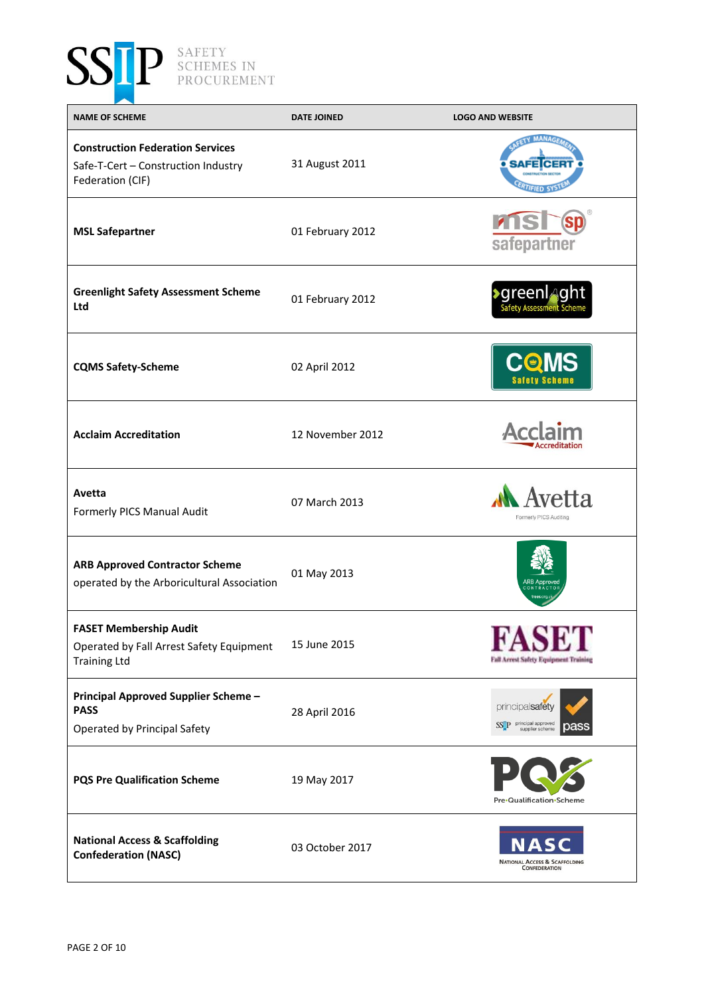

| <b>NAME OF SCHEME</b>                                                                              | <b>DATE JOINED</b> | <b>LOGO AND WEBSITE</b>                                                    |
|----------------------------------------------------------------------------------------------------|--------------------|----------------------------------------------------------------------------|
| <b>Construction Federation Services</b><br>Safe-T-Cert - Construction Industry<br>Federation (CIF) | 31 August 2011     |                                                                            |
| <b>MSL Safepartner</b>                                                                             | 01 February 2012   | sp<br>safepartner                                                          |
| <b>Greenlight Safety Assessment Scheme</b><br>Ltd                                                  | 01 February 2012   | <b>&gt;</b> greenl <sub></sub> aght<br><b>Safety Assessment Scheme</b>     |
| <b>CQMS Safety-Scheme</b>                                                                          | 02 April 2012      | <b>Safety Scheme</b>                                                       |
| <b>Acclaim Accreditation</b>                                                                       | 12 November 2012   |                                                                            |
| Avetta<br>Formerly PICS Manual Audit                                                               | 07 March 2013      | Avetta<br>Formerly PICS Auditing                                           |
| <b>ARB Approved Contractor Scheme</b><br>operated by the Arboricultural Association                | 01 May 2013        |                                                                            |
| <b>FASET Membership Audit</b><br>Operated by Fall Arrest Safety Equipment<br><b>Training Ltd</b>   | 15 June 2015       | <b>Fall Arrest Safety Equipment Training</b>                               |
| Principal Approved Supplier Scheme -<br><b>PASS</b><br>Operated by Principal Safety                | 28 April 2016      | principalsafety<br>SSTP principal approved<br>oas<br>supplier scheme       |
| <b>PQS Pre Qualification Scheme</b>                                                                | 19 May 2017        | Pre·Qualification·Scheme                                                   |
| <b>National Access &amp; Scaffolding</b><br><b>Confederation (NASC)</b>                            | 03 October 2017    | N<br>Δ<br><b>NATIONAL ACCESS &amp; SCAFFOLDING</b><br><b>CONFEDERATION</b> |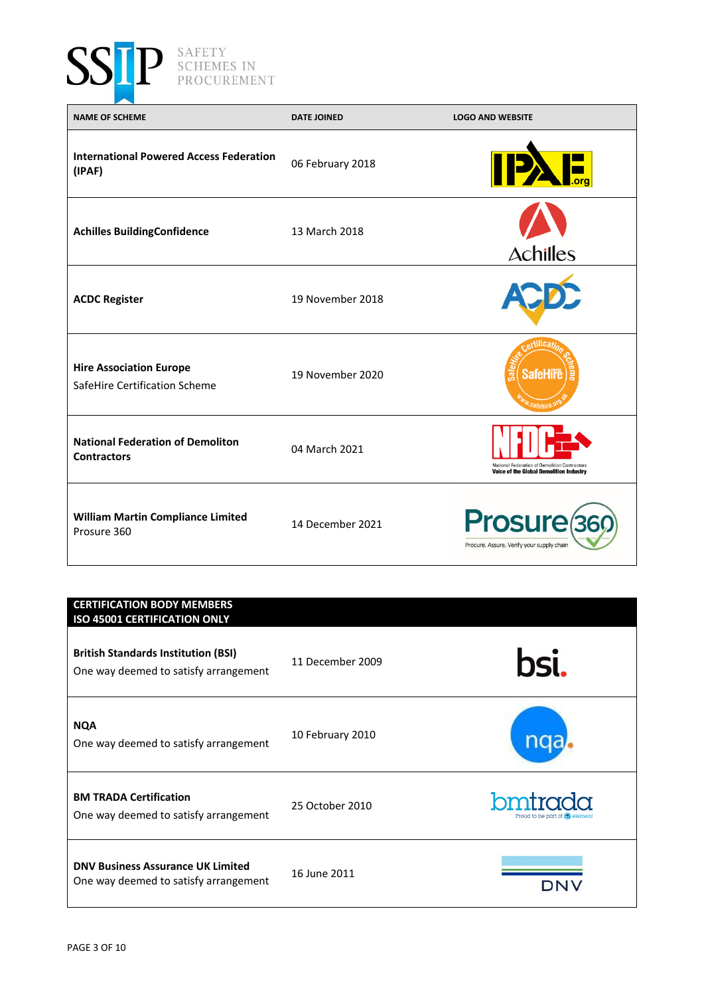

P SAFETY SCHEMES IN PROCUREMENT

| <b>NAME OF SCHEME</b>                                           | <b>DATE JOINED</b> | <b>LOGO AND WEBSITE</b>                                                                         |
|-----------------------------------------------------------------|--------------------|-------------------------------------------------------------------------------------------------|
| <b>International Powered Access Federation</b><br>(IPAF)        | 06 February 2018   |                                                                                                 |
| <b>Achilles BuildingConfidence</b>                              | 13 March 2018      | <b>Achilles</b>                                                                                 |
| <b>ACDC Register</b>                                            | 19 November 2018   |                                                                                                 |
| <b>Hire Association Europe</b><br>SafeHire Certification Scheme | 19 November 2020   | rtifica<br>Safe<br><b>SafeHire</b><br><sup>w</sup> safehire. <sup>0</sup>                       |
| <b>National Federation of Demoliton</b><br><b>Contractors</b>   | 04 March 2021      | National Federation of Demolition Contractors<br><b>Voice of the Global Demolition Industry</b> |
| <b>William Martin Compliance Limited</b><br>Prosure 360         | 14 December 2021   | Prosure <sub>369</sub><br>Procure. Assure. Verify your supply chain                             |

## **CERTIFICATION BODY MEMBERS ISO 45001 CERTIFICATION ONLY** bsi. **British Standards Institution (BSI)** 11 December 2009 One way deemed to satisfy arrangement **NQA** 10 February 2010 nqa, One way deemed to satisfy arrangement bmtrada **BM TRADA Certification**  25 October 2010 One way deemed to satisfy arrangement **DNV Business Assurance UK Limited** 16 June 2011One way deemed to satisfy arrangement **DNV**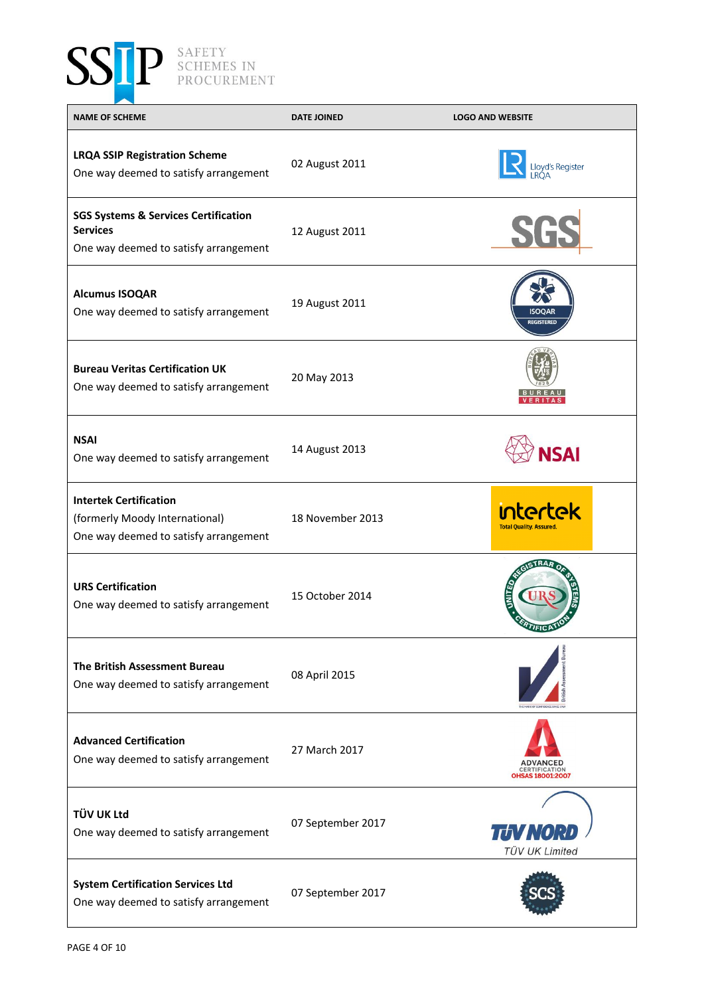

| <b>NAME OF SCHEME</b>                                                                                       | <b>DATE JOINED</b> | <b>LOGO AND WEBSITE</b>                         |
|-------------------------------------------------------------------------------------------------------------|--------------------|-------------------------------------------------|
| <b>LRQA SSIP Registration Scheme</b><br>One way deemed to satisfy arrangement                               | 02 August 2011     | Lloyd's Register                                |
| <b>SGS Systems &amp; Services Certification</b><br><b>Services</b><br>One way deemed to satisfy arrangement | 12 August 2011     | <b>SGS</b>                                      |
| <b>Alcumus ISOQAR</b><br>One way deemed to satisfy arrangement                                              | 19 August 2011     | ISOOAR<br><b>REGISTERED</b>                     |
| <b>Bureau Veritas Certification UK</b><br>One way deemed to satisfy arrangement                             | 20 May 2013        |                                                 |
| <b>NSAI</b><br>One way deemed to satisfy arrangement                                                        | 14 August 2013     | <b>NSAI</b>                                     |
| <b>Intertek Certification</b><br>(formerly Moody International)<br>One way deemed to satisfy arrangement    | 18 November 2013   | ntertek<br><b>Total Quality. Assured.</b>       |
| <b>URS Certification</b><br>One way deemed to satisfy arrangement                                           | 15 October 2014    | <b>TIFICP</b>                                   |
| <b>The British Assessment Bureau</b><br>One way deemed to satisfy arrangement                               | 08 April 2015      |                                                 |
| <b>Advanced Certification</b><br>One way deemed to satisfy arrangement                                      | 27 March 2017      | <b>CERTIFICATION</b><br><b>OHSAS 18001:2007</b> |
| <b>TÜV UK Ltd</b><br>One way deemed to satisfy arrangement                                                  | 07 September 2017  | TIV NO<br><b>TÜV UK Limited</b>                 |
| <b>System Certification Services Ltd</b><br>One way deemed to satisfy arrangement                           | 07 September 2017  |                                                 |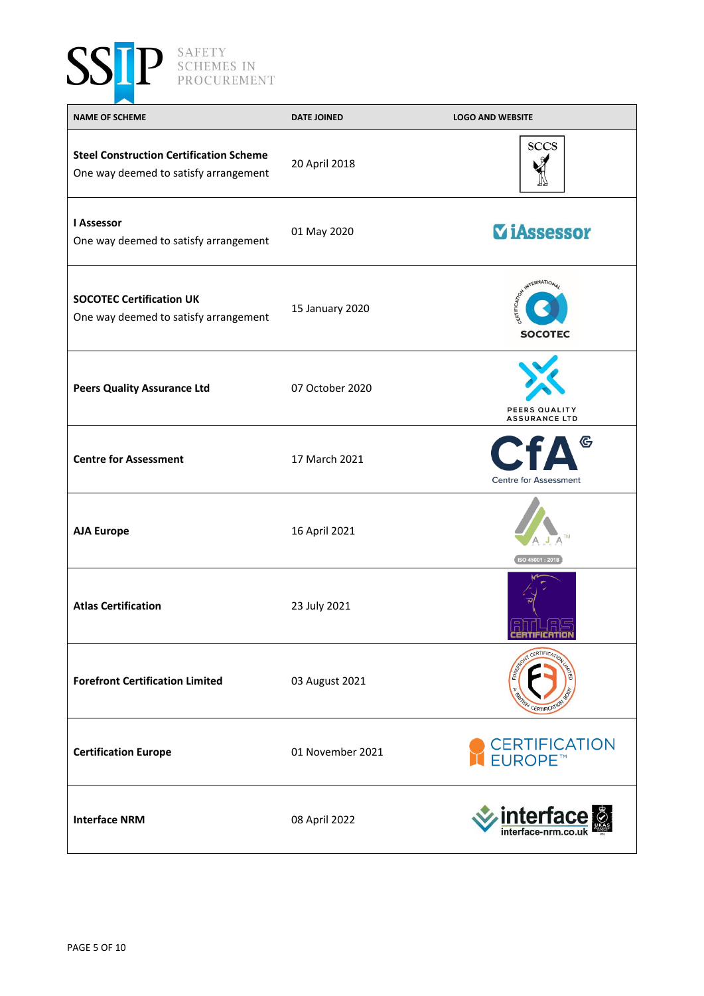

| <b>NAME OF SCHEME</b>                                                                   | <b>DATE JOINED</b> | <b>LOGO AND WEBSITE</b>                                  |
|-----------------------------------------------------------------------------------------|--------------------|----------------------------------------------------------|
| <b>Steel Construction Certification Scheme</b><br>One way deemed to satisfy arrangement | 20 April 2018      | <b>SCCS</b>                                              |
| <b>I Assessor</b><br>One way deemed to satisfy arrangement                              | 01 May 2020        | <b><i>ViAssessor</i></b>                                 |
| <b>SOCOTEC Certification UK</b><br>One way deemed to satisfy arrangement                | 15 January 2020    | INTERNATION<br>RTIFICATI <sub>ON</sub><br><b>SOCOTEC</b> |
| <b>Peers Quality Assurance Ltd</b>                                                      | 07 October 2020    | PEERS QUALITY<br><b>ASSURANCE LTD</b>                    |
| <b>Centre for Assessment</b>                                                            | 17 March 2021      | <b>CfA</b><br><b>Centre for Assessment</b>               |
| <b>AJA Europe</b>                                                                       | 16 April 2021      | ISO 45001:2018                                           |
| <b>Atlas Certification</b>                                                              | 23 July 2021       | CERTIFICATION                                            |
| <b>Forefront Certification Limited</b>                                                  | 03 August 2021     | <b>ERTIFIC</b>                                           |
| <b>Certification Europe</b>                                                             | 01 November 2021   | CERTIFICATION<br>EUROPE™                                 |
| <b>Interface NRM</b>                                                                    | 08 April 2022      | <b>interface</b>                                         |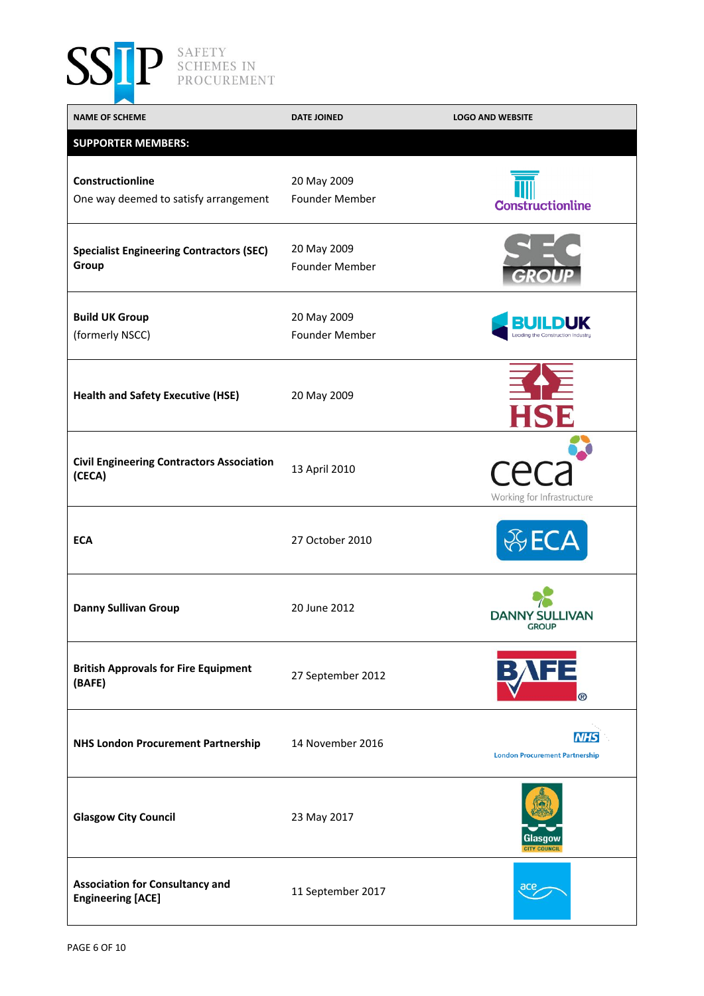

| <b>NAME OF SCHEME</b>                                              | <b>DATE JOINED</b>            | <b>LOGO AND WEBSITE</b>                             |
|--------------------------------------------------------------------|-------------------------------|-----------------------------------------------------|
| <b>SUPPORTER MEMBERS:</b>                                          |                               |                                                     |
| Constructionline<br>One way deemed to satisfy arrangement          | 20 May 2009<br>Founder Member | <b>Constructionline</b>                             |
| <b>Specialist Engineering Contractors (SEC)</b><br>Group           | 20 May 2009<br>Founder Member |                                                     |
| <b>Build UK Group</b><br>(formerly NSCC)                           | 20 May 2009<br>Founder Member | ILDUK<br>Leading the Construction Industry          |
| <b>Health and Safety Executive (HSE)</b>                           | 20 May 2009                   |                                                     |
| <b>Civil Engineering Contractors Association</b><br>(CECA)         | 13 April 2010                 | Working for Infrastructure                          |
| <b>ECA</b>                                                         | 27 October 2010               |                                                     |
| <b>Danny Sullivan Group</b>                                        | 20 June 2012                  | <b>DANNY SULLIVAN</b><br><b>GROUP</b>               |
| <b>British Approvals for Fire Equipment</b><br>(BAFE)              | 27 September 2012             | ®                                                   |
| <b>NHS London Procurement Partnership</b>                          | 14 November 2016              | <b>NHS</b><br><b>London Procurement Partnership</b> |
| <b>Glasgow City Council</b>                                        | 23 May 2017                   | Glasqov<br><b>CITY COUNCIL</b>                      |
| <b>Association for Consultancy and</b><br><b>Engineering [ACE]</b> | 11 September 2017             | ace                                                 |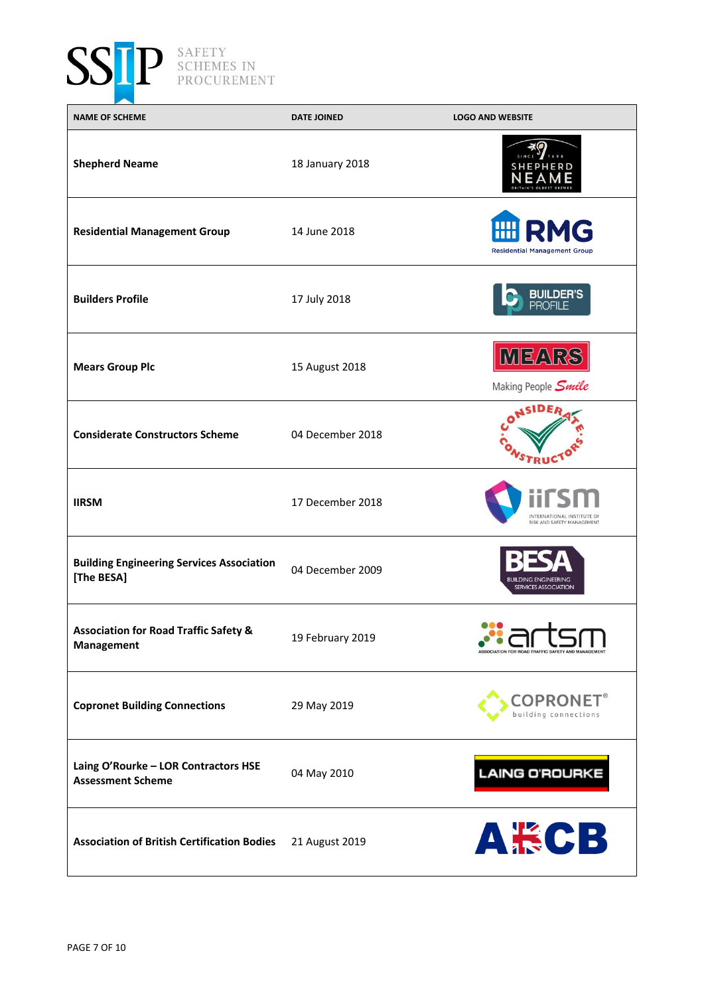

| <b>NAME OF SCHEME</b>                                            | <b>DATE JOINED</b> | <b>LOGO AND WEBSITE</b>                                  |
|------------------------------------------------------------------|--------------------|----------------------------------------------------------|
| <b>Shepherd Neame</b>                                            | 18 January 2018    |                                                          |
| <b>Residential Management Group</b>                              | 14 June 2018       | HII<br><b>RMG</b><br><b>Residential Management Group</b> |
| <b>Builders Profile</b>                                          | 17 July 2018       | <b>BUILDER'S</b><br>PROFILE                              |
| <b>Mears Group Plc</b>                                           | 15 August 2018     | <b>MEARS</b><br>Making People <i>Smile</i>               |
| <b>Considerate Constructors Scheme</b>                           | 04 December 2018   |                                                          |
| <b>IIRSM</b>                                                     | 17 December 2018   | INTERNATIONAL INSTITUTE O<br>RISK AND SAFFTY MANAGEMENT  |
| <b>Building Engineering Services Association</b><br>[The BESA]   | 04 December 2009   | BUILDING ENGINEERING<br>SERVICES ASSOCIATION             |
| <b>Association for Road Traffic Safety &amp;</b><br>Management   | 19 February 2019   | <b>ASSOCIATION FOR ROAD TRAFFIC SAFET</b>                |
| <b>Copronet Building Connections</b>                             | 29 May 2019        | $\mathsf{COPRONET}^\circ$<br>building connections        |
| Laing O'Rourke - LOR Contractors HSE<br><b>Assessment Scheme</b> | 04 May 2010        | <b>LAING O'ROURKE</b>                                    |
| <b>Association of British Certification Bodies</b>               | 21 August 2019     | <b>A將CB</b>                                              |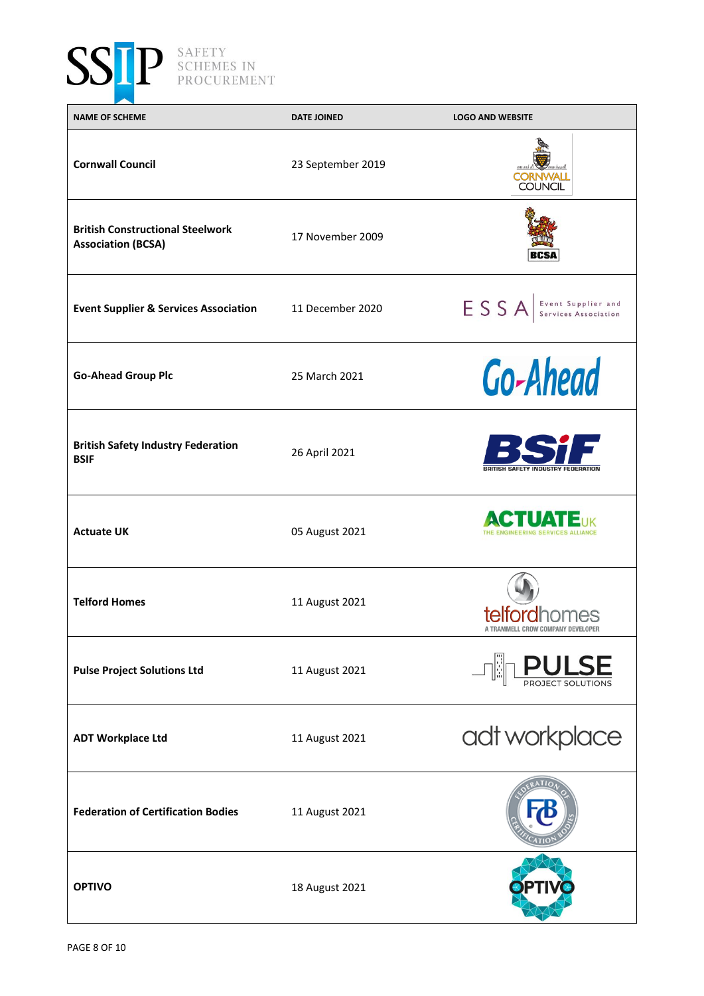

| <b>NAME OF SCHEME</b>                                                | <b>DATE JOINED</b> | <b>LOGO AND WEBSITE</b>                                         |
|----------------------------------------------------------------------|--------------------|-----------------------------------------------------------------|
| <b>Cornwall Council</b>                                              | 23 September 2019  | <b>COUNCIL</b>                                                  |
| <b>British Constructional Steelwork</b><br><b>Association (BCSA)</b> | 17 November 2009   | BCSA                                                            |
| <b>Event Supplier &amp; Services Association</b>                     | 11 December 2020   | ESSA Services Association                                       |
| <b>Go-Ahead Group Plc</b>                                            | 25 March 2021      | <b>Go-Ahead</b>                                                 |
| <b>British Safety Industry Federation</b><br><b>BSIF</b>             | 26 April 2021      | <b>BRITISH SAFETY INDUSTRY FEDERATION</b>                       |
| <b>Actuate UK</b>                                                    | 05 August 2021     | <b>CTUATE<sub>UK</sub></b><br>THE ENGINEERING SERVICES ALLIANCE |
| <b>Telford Homes</b>                                                 | 11 August 2021     | telfordhomes                                                    |
| <b>Pulse Project Solutions Ltd</b>                                   | 11 August 2021     | <b>ULSE</b>                                                     |
| <b>ADT Workplace Ltd</b>                                             | 11 August 2021     | adt workplace                                                   |
| <b>Federation of Certification Bodies</b>                            | 11 August 2021     |                                                                 |
| <b>OPTIVO</b>                                                        | 18 August 2021     |                                                                 |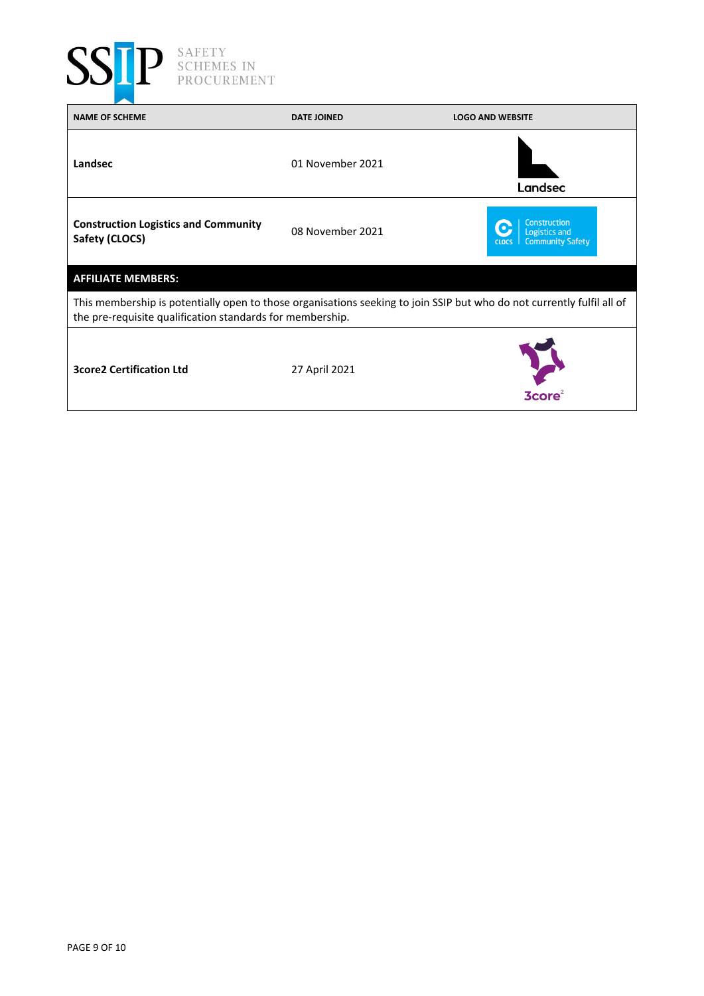

| <b>NAME OF SCHEME</b>                                                                                                                                                               | <b>DATE JOINED</b> | <b>LOGO AND WEBSITE</b>                                                                |  |
|-------------------------------------------------------------------------------------------------------------------------------------------------------------------------------------|--------------------|----------------------------------------------------------------------------------------|--|
| Landsec                                                                                                                                                                             | 01 November 2021   | Landsec                                                                                |  |
| <b>Construction Logistics and Community</b><br>Safety (CLOCS)                                                                                                                       | 08 November 2021   | <b>Construction</b><br><b>Logistics and</b><br><b>Community Safety</b><br><b>CLOCS</b> |  |
| <b>AFFILIATE MEMBERS:</b>                                                                                                                                                           |                    |                                                                                        |  |
| This membership is potentially open to those organisations seeking to join SSIP but who do not currently fulfil all of<br>the pre-requisite qualification standards for membership. |                    |                                                                                        |  |
| <b>3core2 Certification Ltd</b>                                                                                                                                                     | 27 April 2021      | <b>3core</b> <sup>2</sup>                                                              |  |